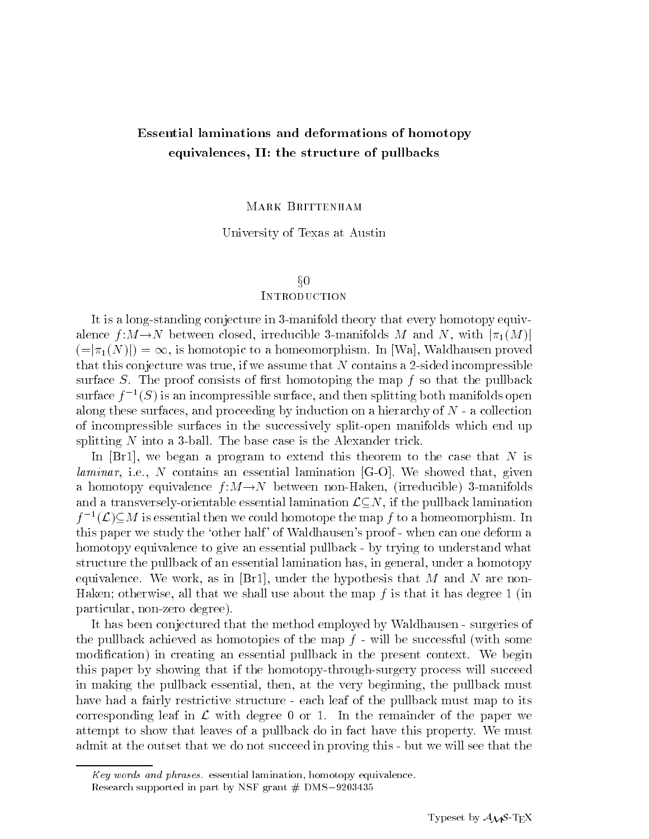# Essential laminations and deformations of homotopy equivalences, II: the structure of pullbacks

### MARK BRITTENHAM

University of Texas at Austin

### $\S{0}$

## **INTRODUCTION**

It is a long-standing conjecture in 3-manifold theory that every homotopy equivalence  $f: M \to N$  between closed, irreducible 3-manifolds M and N, with  $|\pi_1(M)|$  $(|=|\pi_1(N)|) = \infty$ , is homotopic to a homeomorphism. In [Wa], Waldhausen proved that this conjecture was true, if we assume that  $N$  contains a 2-sided incompressible surface  $S$ . The proof consists of first homotoping the map  $f$  so that the pullback surface  $\tau^{-1}(S)$  is an incompressible surface, and then splitting both manifolds open along these surfaces, and proceeding by induction on a hierarchy of  $N$  - a collection of incompressible surfaces in the successively split-open manifolds which end up splitting  $N$  into a 3-ball. The base case is the Alexander trick.

In  $[Br1]$ , we began a program to extend this theorem to the case that N is *laminar*, i.e., N contains an essential lamination  $[G-O]$ . We showed that, given a homotopy equivalence  $f : M \to N$  between non-Haken, (irreducible) 3-manifolds and a transversely-orientable essential lamination  $\mathcal{L}\subseteq N$ , if the pullback lamination  $I^{-1}(L) \subseteq M$  is essential then we could homotope the map f to a homeomorphism. In this paper we study the `other half ' of Waldhausen's proof - when can one deform a homotopy equivalence to give an essential pullback-by trying to understand what structure the pullback of an essential lamination has, in general, under a homotopy equivalence. We work, as in  $|Br1|$ , under the hypothesis that M and N are non-Haken; otherwise, all that we shall use about the map  $f$  is that it has degree 1 (in particular, non-zero degree).

It has been conjectured that the method employed by Waldhausen - surgeries of the pullback achieved as homotopies of the map  $f$  - will be successful (with some modification) in creating an essential pullback in the present context. We begin this paper by showing that if the homotopy-through-surgery process will succeed in making the pullback essential, then, at the very beginning, the pullback must have had a fairly restrictive structure - each leaf of the pullback must map to its corresponding leaf in  $\mathcal L$  with degree 0 or 1. In the remainder of the paper we attempt to show that leaves of a pullback do in fact have this property. We must admit at the outset that we do not succeed in proving this - but we will see that the

 $Key$  words and phrases. essential lamination, homotopy equivalence.

Research supported in part by NSF grant  $#$  DMS-9203435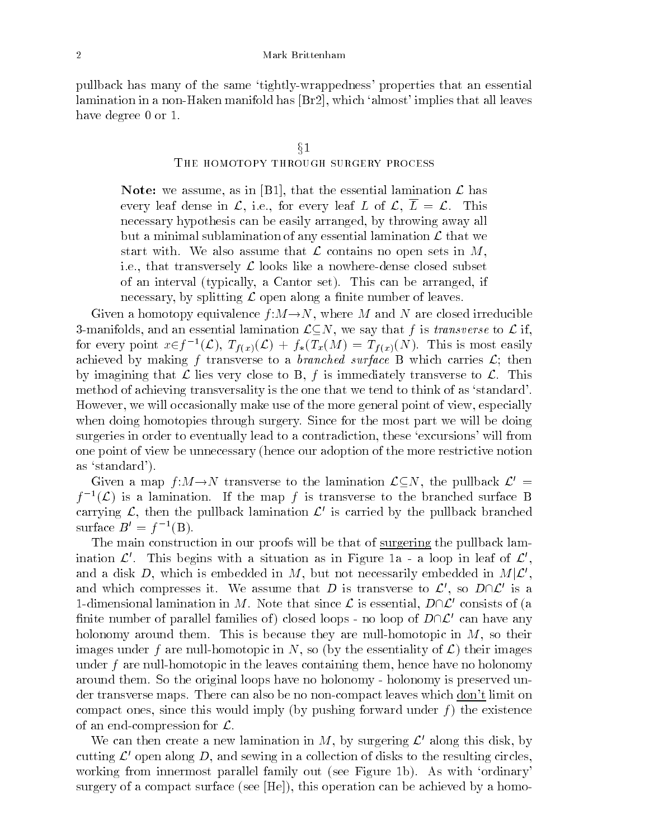pullback has many of the same `tightly-wrappedness' properties that an essential lamination in a non-Haken manifold has [Br2], which `almost' implies that all leaves have degree 0 or 1.

### $\S1$

### The homotopy through surgery process

Note: we assume, as in [B1], that the essential lamination  $\mathcal{L}$  has every leaf dense in  $\mathcal{L}$ , i.e., for every leaf L of  $\mathcal{L}$ ,  $\overline{L} = \mathcal{L}$ . This necessary hypothesis can be easily arranged, by throwing away all but a minimal sublamination of any essential lamination  $\mathcal L$  that we start with. We also assume that  $\mathcal L$  contains no open sets in M, i.e., that transversely  $\mathcal L$  looks like a nowhere-dense closed subset of an interval (typically, a Cantor set). This can be arranged, if necessary, by splitting  $\mathcal L$  open along a finite number of leaves.

Given a homotopy equivalence  $f:M\rightarrow N$ , where M and N are closed irreducible 3-manifolds, and an essential lamination  $\mathcal{L}\subseteq N$ , we say that f is transverse to  $\mathcal{L}$  if, for every point  $x \in J^{-1}(\mathcal{L}), T_{f(x)}(\mathcal{L}) + J_*(T_x(M)) = T_{f(x)}(N)$ . This is most easily achieved by making f transverse to a branched surface B which carries  $\mathcal{L}$ ; then by imagining that  $\mathcal L$  lies very close to B, f is immediately transverse to  $\mathcal L$ . This method of achieving transversality is the one that we tend to think of as 'standard'. However, we will occasionally make use of the more general point of view, especially when doing homotopies through surgery. Since for the most part we will be doing surgeries in order to eventually lead to a contradiction, these 'excursions' will from one point of view be unnecessary (hence our adoption of the more restrictive notion as `standard').

Given a map  $f:M\rightarrow N$  transverse to the lamination  $\mathcal{L}\subseteq N$ , the pullback  $\mathcal{L}'=$  $\mathcal{T}^{-1}(\mathcal{L})$  is a lamination. If the map  $\mathcal{T}$  is transverse to the branched surface  $\mathbf D$ carrying  $\mathcal{L}$ , then the pullback lamination  $\mathcal{L}'$  is carried by the pullback branched surface  $B = I^{-1}(B)$ .

The main construction in our proofs will be that of surgering the pullback lamination  $\mathcal{L}'$ . This begins with a situation as in Figure 1a - a loop in leaf of  $\mathcal{L}'$ , and a disk D, which is embedded in M, but not necessarily embedded in  $M|\mathcal{L}'$ , and which compresses it. We assume that D is transverse to  $\mathcal{L}'$ , so  $D\cap\mathcal{L}'$  is a 1-dimensional lamination in M. Note that since  $\mathcal L$  is essential,  $D\cap\mathcal L'$  consists of (a finite number of parallel families of closed loops - no loop of  $D\cap\mathcal{L}'$  can have any holonomy around them. This is because they are null-homotopic in  $M$ , so their images under f are null-homotopic in N, so (by the essentiality of  $\mathcal{L}$ ) their images under f are null-homotopic in the leaves containing them, hence have no holonomy around them. So the original loops have no holonomy - holonomy is preserved under transverse maps. There can also be no non-compact leaves which <u>don't</u> limit on compact ones, since this would imply (by pushing forward under  $f$ ) the existence of an end-compression for  $\mathcal{L}$ .

We can then create a new lamination in M, by surgering  $\mathcal{L}'$  along this disk, by cutting  $\mathcal{L}'$  open along D, and sewing in a collection of disks to the resulting circles, working from innermost parallel family out (see Figure 1b). As with `ordinary' surgery of a compact surface (see [He]), this operation can be achieved by a homo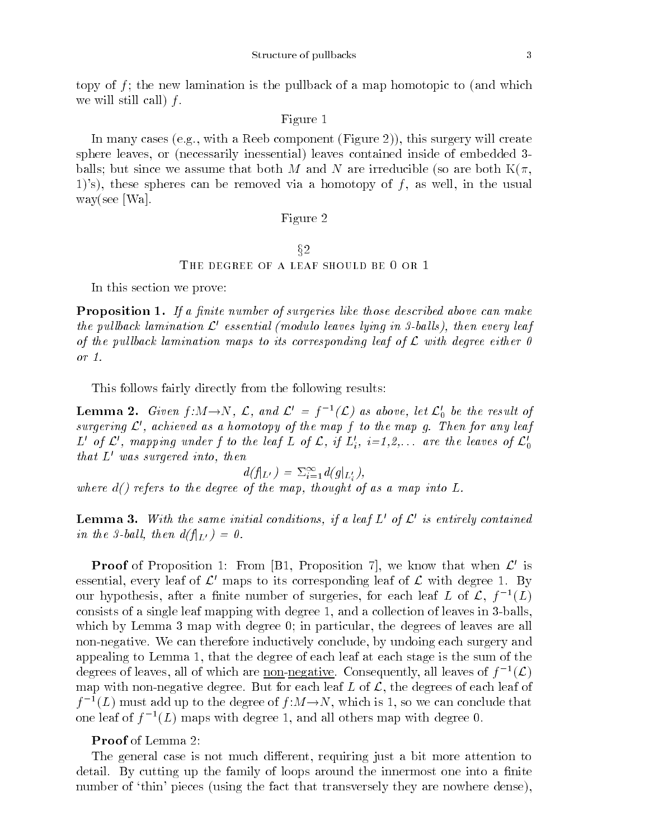topy of  $f$ ; the new lamination is the pullback of a map homotopic to (and which we will still call  $f$ .

### Figure 1

In many cases (e.g., with a Reeb component (Figure 2)), this surgery will create sphere leaves, or (necessarily inessential) leaves contained inside of embedded 3 balls; but since we assume that both M and N are irreducible (so are both  $K(\pi, \pi)$ 1)'s), these spheres can be removed via a homotopy of  $f$ , as well, in the usual way(see [Wa].

### Figure 2

### $§2$

### The degree of a leaf should be 0 or 1

In this section we prove:

Proposition 1. If a finite number of surgeries like those described above can make the pullback lamination  $\mathcal{L}^{\prime}$  essential (modulo leaves lying in 3-balls), then every leaf of the pullback lamination maps to its corresponding leaf of  $\mathcal L$  with degree either 0 or 1.

This follows fairly directly from the following results:

**Lemma 2.** Given  $f: M \to N$ , L, and  $L = f^{-1}(L)$  as above, let  $L_0$  be the result of surgering  $\mathcal{L}'$ , achieved as a homotopy of the map f to the map g. Then for any leaf  $L$  of  $L$  , mapping under f to the leaf  $L$  of  $L,$  if  $L_i$ ,  $i=1,2,\ldots$  are the leaves of  $L_0$ that  $L'$  was surgered into, then

 $a(J|_{L'}) = \sum_{i=1}^{\infty} a(g|_{L'_i}),$ where  $d()$  refers to the degree of the map, thought of as a map into  $L$ .

**Lemma 3.** With the same initial conditions, if a leaf  $L'$  of  $\mathcal{L}'$  is entirely contained in the 3-ball, then  $d(f|_{L}) = 0$ .

**Proof** of Proposition 1: From [B1, Proposition 7], we know that when  $\mathcal{L}'$  is essential, every leaf of  $\mathcal{L}'$  maps to its corresponding leaf of  $\mathcal{L}$  with degree 1. By our hypothesis, after a finite number of surgeries, for each leaf  $L$  of  $L$ ,  $\mathfrak{f}^{-1}(L)$ consists of a single leaf mapping with degree 1, and a collection of leaves in 3-balls, which by Lemma 3 map with degree 0; in particular, the degrees of leaves are all non-negative. We can therefore inductively conclude, by undoing each surgery and appealing to Lemma 1, that the degree of each leaf at each stage is the sum of the degrees of leaves, all of which are non-negative. Consequently, all leaves of  $\mathcal{T}^{-1}(\mathcal{L})$ map with non-negative degree. But for each leaf  $L$  of  $\mathcal{L}$ , the degrees of each leaf of  $I^{-1}(L)$  must add up to the degree of  $I:M\rightarrow N$  , which is 1, so we can conclude that one leaf of  $f^{-1}(L)$  maps with degree 1, and all others map with degree 0.

### Proof of Lemma 2:

The general case is not much different, requiring just a bit more attention to detail. By cutting up the family of loops around the innermost one into a finite number of 'thin' pieces (using the fact that transversely they are nowhere dense),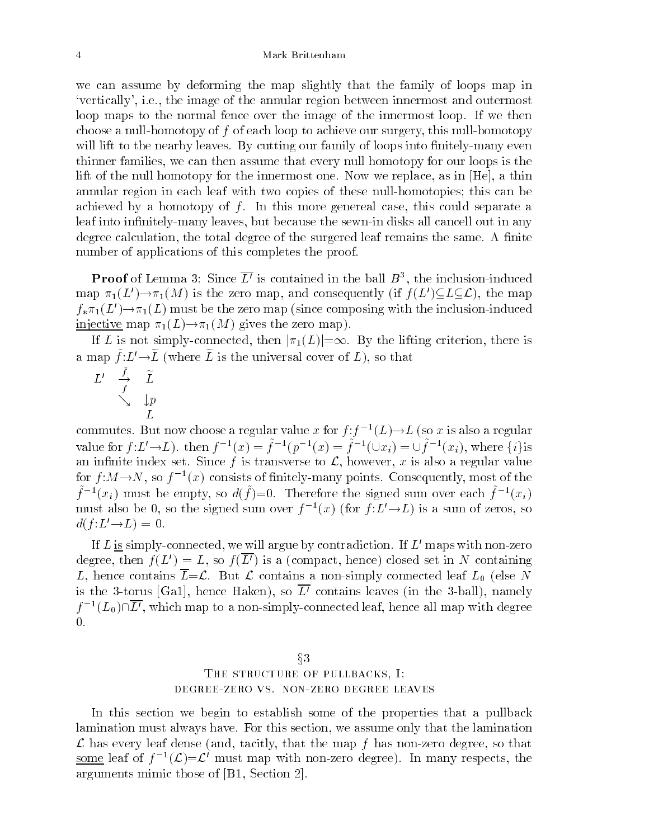we can assume by deforming the map slightly that the family of loops map in `vertically', i.e., the image of the annular region between innermost and outermost loop maps to the normal fence over the image of the innermost loop. If we then choose a null-homotopy of f of each loop to achieve our surgery, this null-homotopy will lift to the nearby leaves. By cutting our family of loops into finitely-many even thinner families, we can then assume that every null homotopy for our loops is the lift of the null homotopy for the innermost one. Now we replace, as in [He], a thin annular region in each leaf with two copies of these null-homotopies; this can be achieved by a homotopy of  $f$ . In this more genereal case, this could separate a leaf into infinitely-many leaves, but because the sewn-in disks all cancell out in any degree calculation, the total degree of the surgered leaf remains the same. A finite number of applications of this completes the proof.

**Proof** of Lemma 3: Since L<sup>o</sup> is contained in the ball  $B^{\ast}$ , the inclusion-induced map  $\pi_1(L') \to \pi_1(M)$  is the zero map, and consequently (if  $f(L') \subseteq L \subseteq \mathcal{L}$ ), the map  $f_*\pi_1(L') \to \pi_1(L)$  must be the zero map (since composing with the inclusion-induced injective map  $\pi_1(L) \to \pi_1(M)$  gives the zero map).

If L is not simply-connected, then  $|\pi_1(L)|=\infty$ . By the lifting criterion, there is a map  $\overline{I:L}\to\overline{L}$  (where  $L$  is the universal cover of  $L$ ), so that

$$
\begin{array}{ccccc} L' & \stackrel{f}{\to} & \widetilde{L} & & \\ & \searrow & & \downarrow_P & & \\ & & \searrow & & \downarrow_P & & \\ & & L & & & \end{array}
$$

commutes. But now choose a regular value x for  $f : f^{-1}(L) \rightarrow L$  (so x is also a regular value for  $f: L \to L$ ). then  $f^{-1}(x) = f^{-1}(p^{-1}(x) = f^{-1}(\cup x_i) = \cup f^{-1}(x_i)$ , where  $\{i\}$ an infinite index set. Since f is transverse to  $\mathcal{L}$ , however, x is also a regular value for  $f:M\rightarrow N$ , so  $f^{-1}(x)$  consists of finitely-many points. Consequently, most of the  $f^{-1}(x_i)$  must be empty, so  $a(f)=0$ . Therefore the signed sum over each  $f^{-1}(x_i)$ must also be 0, so the signed sum over  $f^{-1}(x)$  (for  $f : L \to L$ ) is a sum of zeros, so  $d(f : L' \rightarrow L) = 0.$ 

If L is simply-connected, we will argue by contradiction. If  $L'$  maps with non-zero degree, then  $f(L') = L$ , so  $f(\overline{L'})$  is a (compact, hence) closed set in N containing L, hence contains  $\overline{L}=\mathcal{L}$ . But  $\mathcal L$  contains a non-simply connected leaf  $L_0$  (else N is the 3-torus [Ga1], hence Haken), so  $\overline{L}$  contains leaves (in the 3-ball), namely  $I^{-1}(L_0)\sqcup L'$  , which map to a non-simply-connected leaf, hence all map with degree  $\Omega$ .

# $§3$ THE STRUCTURE OF PULLBACKS, I: degree-zero vs. non-zero degree leaves

In this section we begin to establish some of the properties that a pullback lamination must always have. For this section, we assume only that the lamination  ${\mathcal L}$  has every leaf dense (and, tacitly, that the map  $\hbar$  has non-zero degree, so that some leaf of  $\tau^{-1}(L)=L$  must map with non-zero degree). In many respects, the arguments mimic those of [B1, Section 2].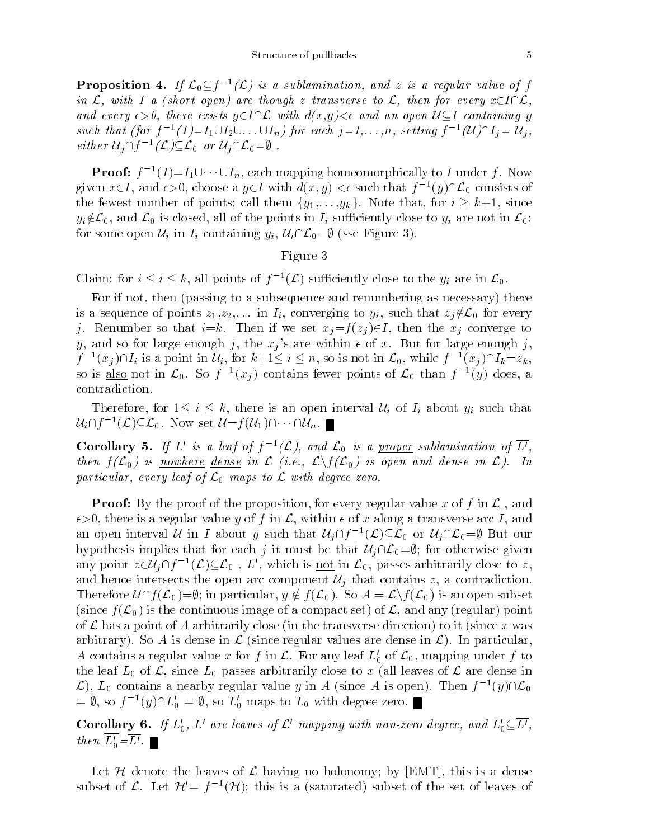**Proposition 4.** If  $\mathcal{L}_0 \subseteq f^{-1}(\mathcal{L})$  is a subtamination, and z is a requiar value of f in  $\mathcal{L}$ , with I a (short open) arc though z transverse to  $\mathcal{L}$ , then for every  $x \in I \cap \mathcal{L}$ , and every  $\epsilon > 0$ , there exists  $y \in I \cap L$  with  $d(x,y) < \epsilon$  and an open  $\mathcal{U} \subseteq I$  containing y such that (for  $f^{-1}(I) = I_1 \cup I_2 \cup \ldots \cup I_n$ ) for each  $j = 1, \ldots, n$ , setting  $f^{-1}(U) \cup I_j = U_j$ , either  $U_i \sqcup J_i$   $(L) \sqsubseteq L_0$  or  $U_i \sqcup L_0 = \emptyset$ .

**Proof:**  $f^{-1}(I) = I_1 \cup \cdots \cup I_n$ , each mapping homeomorphically to  $I$  under  $f$ . Now given  $x \in I$ , and  $\epsilon > 0$ , choose a  $y \in I$  with  $a(x, y) < \epsilon$  such that  $f^{-1}(y) \sqcup \mathcal{L}_0$  consists of the fewest number of points; call them  $\{y_1,\ldots,y_k\}$ . Note that, for  $i \geq k+1$ , since  $y_i \notin \mathcal{L}_0$ , and  $\mathcal{L}_0$  is closed, all of the points in  $I_i$  sufficiently close to  $y_i$  are not in  $\mathcal{L}_0$ ; for some open  $\mathcal{U}_i$  in  $I_i$  containing  $y_i$ ,  $\mathcal{U}_i\cap\mathcal{L}_0=\emptyset$  (sse Figure 3).

### Figure 3  $\sim$  5  $\,$   $\sim$  3  $\,$   $\sim$  3  $\,$   $\sim$  3  $\,$   $\sim$  3  $\,$   $\sim$  3  $\,$   $\sim$  3  $\,$   $\sim$  3  $\,$   $\sim$  3  $\,$   $\sim$  3  $\,$   $\sim$  3  $\,$   $\sim$  3  $\,$   $\sim$  3  $\,$   $\sim$  3  $\,$   $\sim$  3  $\,$   $\sim$  3  $\,$   $\sim$   $\sim$  3  $\,$   $\sim$   $\sim$   $\$

Claim: for  $i \leq i \leq k$ , all points of  $f^{-1}(L)$  sufficiently close to the  $y_i$  are in  $L_0$ .

For if not, then (passing to a subsequence and renumbering as necessary) there is a sequence of points  $z_1, z_2,...$  in  $I_i$ , converging to  $y_i$ , such that  $z_i \notin \mathcal{L}_0$  for every j. Renumber so that  $i=k$ . Then if we set  $x_i = f(z_i) \in I$ , then the  $x_i$  converge to y, and so for large enough j, the  $x_i$ 's are within  $\epsilon$  of x. But for large enough j,  $I^{-1}(x_i) \sqcup I_i$  is a point in  $\mathcal{U}_i$ , for  $k+1 \leq i \leq n$ , so is not in  $\mathcal{L}_0$ , while  $I^{-1}(x_i) \sqcup I_k = z_k$ , so is <u>also</u> not in  $\mathcal{L}_0$ . So f<sup>-</sup>(x<sub>j</sub>) contains fewer points of  $\mathcal{L}_0$  than f<sup>-(y)</sup> does, a contradiction.

Therefore, for  $1 \leq i \leq k$ , there is an open interval  $\mathcal{U}_i$  of  $I_i$  about  $y_i$  such that Therefore, for  $1 \leq i \leq k$ , there is an open<br> $\mathcal{U}_i \cap f^{-1}(\mathcal{L}) \subseteq \mathcal{L}_0$ . Now set  $\mathcal{U}=f(\mathcal{U}_1) \cap \cdots \cap \mathcal{U}_n$ .

Corollary 5. If L is a leaf of  $f^{-1}(L)$ , and  $L_0$  is a proper sublamination of L, then  $f(\mathcal{L}_0)$  is nowhere dense in  $\mathcal{L}$  (i.e.,  $\mathcal{L}\backslash f(\mathcal{L}_0)$  is open and dense in  $\mathcal{L}$ ). In particular, every leaf of  $\mathcal{L}_0$  maps to  $\mathcal L$  with degree zero.

**Proof:** By the proof of the proposition, for every regular value x of f in  $\mathcal{L}$ , and  $\epsilon > 0$ , there is a regular value y of f in  $\mathcal{L}$ , within  $\epsilon$  of x along a transverse arc I, and an open interval  $U$  in I about y such that  $U_i \sqcup j^{-1}(L) \subseteq L_0$  or  $U_i \sqcup L_0 = \emptyset$  but our hypothesis implies that for each j it must be that  $\mathcal{U}_j\cap\mathcal{L}_0=\emptyset$ ; for otherwise given any point  $z \in U_i \cup I_j^{-1}(\mathcal{L}) \subseteq \mathcal{L}_0$ ,  $L$ , which is not in  $\mathcal{L}_0$ , passes arbitrarily close to  $z$ , and hence intersects the open arc component  $\mathcal{U}_i$  that contains z, a contradiction. Therefore  $\mathcal{U}\cap f(\mathcal{L}_0)=\emptyset$ ; in particular,  $y \notin f(\mathcal{L}_0)$ . So  $A=\mathcal{L}\backslash f(\mathcal{L}_0)$  is an open subset (since  $f(\mathcal{L}_0)$  is the continuous image of a compact set) of  $\mathcal{L}$ , and any (regular) point of  $\mathcal L$  has a point of A arbitrarily close (in the transverse direction) to it (since x was arbitrary). So A is dense in  $\mathcal L$  (since regular values are dense in  $\mathcal L$ ). In particular, A contains a regular value x for f in  $\mathcal L$ . For any leaf  $L'_0$  of  $\mathcal L_0$ , mapping under f to the leaf  $L_0$  of  $\mathcal{L}$ , since  $L_0$  passes arbitrarily close to x (all leaves of  $\mathcal{L}$  are dense in  $\mathcal{L}$ ),  $L_0$  contains a nearby regular value y in A (since A is open). Then  $J^{-1}(y)\square_{0}$  $= \psi$ , so  $f^{-}(y)\sqcup L_0 = \psi$ , so  $L_0$  maps to  $L_0$  with degree zero.

**Corollary 6.** If  $L_0$ ,  $L'$  are leaves of  $\mathcal{L}'$  mapping with non-zero degree, and  $L_0 \subseteq \overline{L'}$ , then  $\overline{L_0'} = \overline{L'}$ .

Let H denote the leaves of L having no holonomy; by [EMT], this is a dense subset of  $\mathcal{L}$ . Let  $\mathcal{H}=\mathcal{I}^{-1}(\mathcal{H})$ ; this is a (saturated) subset of the set of leaves of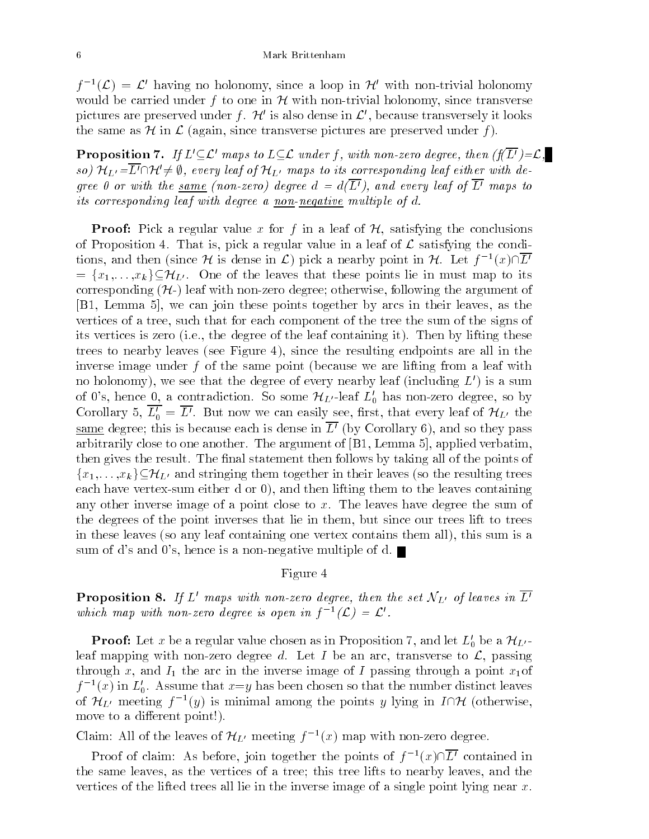$\tau^{-1}(\mathcal{L}) = \mathcal{L}$  having no holonomy, since a loop in  $\pi$  with non-trivial holonomy would be carried under f to one in  $\mathcal H$  with non-trivial holonomy, since transverse pictures are preserved under f.  $\mathcal{H}'$  is also dense in  $\mathcal{L}'$ , because transversely it looks the same as  $\mathcal{H}$  in  $\mathcal{L}$  (again, since transverse pictures are preserved under f).

**Proposition 7.** If  $L' \subseteq \mathcal{L}'$  maps to  $L \subseteq \mathcal{L}$  under f, with non-zero degree, then  $(f(L') = \mathcal{L}, \Box)$ so)  $\mathcal{H}_{L'}=\overline{L'}\cap\mathcal{H}'\neq\emptyset$ , every leaf of  $\mathcal{H}_{L'}$  maps to its corresponding leaf either with degree 0 or with the same (non-zero) degree  $d = d(\overline{L'})$ , and every leaf of  $\overline{L'}$  maps to its corresponding leaf with degree a non-negative multiple of d.

**Proof:** Pick a regular value x for f in a leaf of  $H$ , satisfying the conclusions of Proposition 4. That is, pick a regular value in a leaf of  $\mathcal L$  satisfying the conditions, and then (since  $\pi$  is dense in  $\mathcal{L}$ ) pick a nearby point in  $\pi$ . Let  $\tau^{-}(x)\|L^{\pi}$  $=\{x_1,\ldots,x_k\}\subseteq\mathcal{H}_{L'}$ . One of the leaves that these points lie in must map to its corresponding  $(\mathcal{H})$  leaf with non-zero degree; otherwise, following the argument of [B1, Lemma 5], we can join these points together by arcs in their leaves, as the vertices of a tree, such that for each component of the tree the sum of the signs of its vertices is zero (i.e., the degree of the leaf containing it). Then by lifting these trees to nearby leaves (see Figure 4), since the resulting endpoints are all in the inverse image under  $f$  of the same point (because we are lifting from a leaf with no holonomy), we see that the degree of every nearby leaf (including  $L'$ ) is a sum of 0's, hence 0, a contradiction. So some  $\mathcal{H}_{L'}$ -leaf  $L'_0$  has non-zero degree, so by Corollary 5,  $\overline{L'_0} = \overline{L'}$ . But now we can easily see, first, that every leaf of  $\mathcal{H}_{L'}$  the same degree; this is because each is dense in  $\overline{L}^{\prime}$  (by Corollary 6), and so they pass arbitrarily close to one another. The argument of [B1, Lemma 5], applied verbatim, then gives the result. The final statement then follows by taking all of the points of  ${x_1,\ldots,x_k}\subseteq\mathcal{H}_{L'}$  and stringing them together in their leaves (so the resulting trees each have vertex-sum either d or 0), and then lifting them to the leaves containing any other inverse image of a point close to x. The leaves have degree the sum of the degrees of the point inverses that lie in them, but since our trees lift to trees in these leaves (so any leaf containing one vertex contains them all), this sum is a sum of d's and 0's, hence is a non-negative multiple of d.

### Figure 4

**Proposition 8.** If L' maps with non-zero degree, then the set  $\mathcal{N}_{L'}$  of leaves in  $\overline{L'}$ which map with non-zero degree is open in  $\mathfrak{f}^{-1}(L) = L$ .

**Proof:** Let x be a regular value chosen as in Proposition 7, and let  $L_0'$  be a  $\mathcal{H}_{L'}$ leaf mapping with non-zero degree d. Let I be an arc, transverse to  $\mathcal{L}$ , passing through x, and  $I_1$  the arc in the inverse image of I passing through a point  $x_1$  of  $f^{-1}(x)$  in  $L_0$ . Assume that  $x=y$  has been chosen so that the number distinct leaves of  $\pi_{L'}$  meeting f-(y) is minimal among the points y lying in  $I\sqcup \pi$  (otherwise, move to a different point!).

Claim: All of the leaves of  $\pi_{L'}$  meeting  $f^{-}(x)$  map with non-zero degree.

Proof of claim: As before, join together the points of  $\bar{I}^{-1}(x)\|\bar{L}^r$  contained in the same leaves, as the vertices of a tree; this tree lifts to nearby leaves, and the vertices of the lifted trees all lie in the inverse image of a single point lying near  $x$ .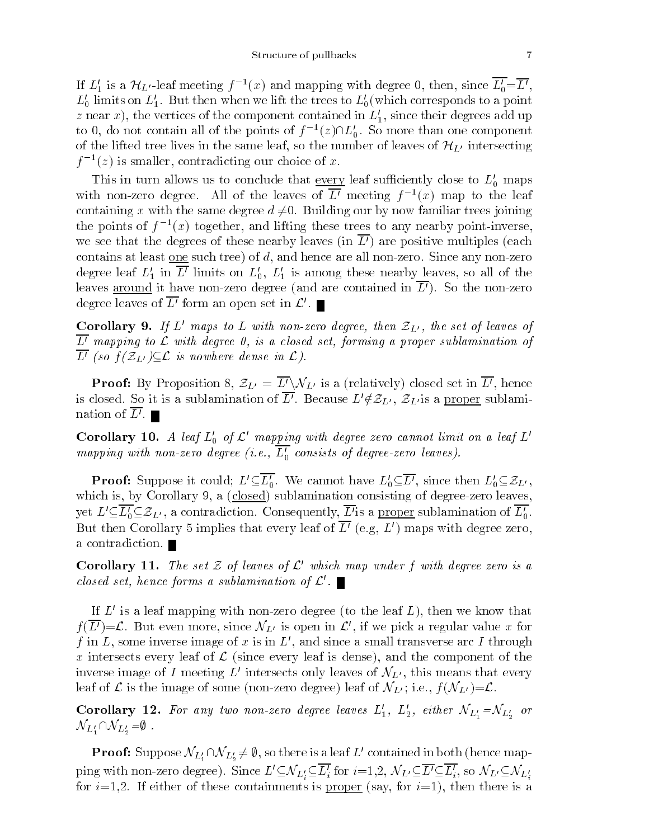If  $L_1$  is a  $\pi_{L'}$ -leaf meeting  $f^{-1}(x)$  and mapping with degree 0, then, since  $L_0=L'$ ,  $L_0'$  limits on  $L_1'$ . But then when we lift the trees to  $L_0'$  (which corresponds to a point z near x), the vertices of the component contained in  $L_1$ , since their degrees add up to  $0$ , do not contain all of the points of  $f^{-1}(z)\square_0$ . So more than one component of the lifted tree lives in the same leaf, so the number of leaves of  $\mathcal{H}_{L'}$  intersecting  $\tau$  =(z) is smaller, contradicting our choice of x.

This in turn allows us to conclude that every leaf sufficiently close to  $L_0'$  maps with non-zero degree. All of the leaves of  $L^{\prime}$  meeting  $\mathfrak{f}^{-\prime}(x)$  map to the leaf  $\mathfrak{f}$ containing x with the same degree  $d \neq 0$ . Building our by now familiar trees joining the points of  $\tau^{-1}(x)$  together, and lifting these trees to any nearby point-inverse, we see that the degrees of these nearby leaves (in  $\overline{L'})$  are positive multiples (each contains at least one such tree) of  $d$ , and hence are all non-zero. Since any non-zero degree leaf  $L_1'$  in  $\overline{L'}$  limits on  $L_0'$ ,  $L_1'$  is among these nearby leaves, so all of the leaves around it have non-zero degree (and are contained in  $\overline{L'}$ ). So the non-zero degree leaves of  $\overline{L}$  form an open set in  $\mathcal{L}'$ .

Corollary 9. If  $L'$  maps to  $L$  with non-zero degree, then  $\mathcal{Z}_{L'}$ , the set of leaves of  $\overline{L'}$  mapping to  $\mathcal L$  with degree 0, is a closed set, forming a proper sublamination of  $\overline{L'}$  (so  $f(\mathcal{Z}_{L'}) \subseteq \mathcal{L}$  is nowhere dense in  $\mathcal{L}$ ).

**Proof:** By Proposition 8,  $\mathcal{Z}_{L'} = \overline{L'} \backslash \mathcal{N}_{L'}$  is a (relatively) closed set in  $\overline{L'}$ , hence is closed. So it is a sublamination of  $\overline{L'}$ . Because  $L'\notin \mathcal{Z}_{L'}$ ,  $\mathcal{Z}_{L'}$  is a proper sublamination of  $\overline{L'}$ .

Corollary 10. A leaf  $L_0'$  of  $\mathcal{L}'$  mapping with degree zero cannot limit on a leaf  $L'$ mapping with non-zero degree (i.e.,  $\overline{L'_0}$  consists of degree-zero leaves).

**Proof:** Suppose it could;  $L' \subseteq \overline{L'_0}$ . We cannot have  $L'_0 \subseteq \overline{L'}$ , since then  $L'_0 \subseteq \mathcal{Z}_{L'}$ , which is, by Corollary 9, a (closed) sublamination consisting of degree-zero leaves, yet  $L'\subseteq L_0'\subseteq \mathcal{Z}_{L'}$ , a contradiction. Consequently,  $\overline{L'}$  is a <u>proper</u> sublamination of  $L'_0$ . But then Corollary 5 implies that every leaf of  $\overline{L}^{\prime}$  (e.g, L<sup>t</sup>) maps with degree zero, a contradiction.

**Corollary 11.** The set Z of leaves of L' which map under f with degree zero is a closed set, hence forms a sublamination of  $\mathcal{L}'$ .

If  $L'$  is a leaf mapping with non-zero degree (to the leaf  $L$ ), then we know that  $f(\overline{L'})=\mathcal{L}$ . But even more, since  $\mathcal{N}_{L'}$  is open in  $\mathcal{L'}$ , if we pick a regular value x for f in L, some inverse image of x is in  $L'$ , and since a small transverse arc I through x intersects every leaf of  $\mathcal{L}$  (since every leaf is dense), and the component of the inverse image of I meeting L' intersects only leaves of  $\mathcal{N}_{L'}$ , this means that every leaf of L is the image of some (non-zero degree) leaf of  $\mathcal{N}_{L'}$ ; i.e.,  $f(\mathcal{N}_{L'})=\mathcal{L}$ .

**Corollary 12.** For any two non-zero degree leaves  $L_1$ ,  $L_2$ , either  $\mathcal{N}_{L_1} = \mathcal{N}_{L_2}$  or  $\mathcal{N}_{L'_1}\cap \mathcal{N}_{L'_2}=\emptyset$ .

**Proof:** Suppose  $\mathcal{N}_{L_1'} \cap \mathcal{N}_{L_2'} \neq \emptyset$ , so there is a leaf L' contained in both (hence mapping with non-zero degree). Since  $L \subseteq N_{L_i'} \subseteq L_i$  for  $i=1,2, N_{L'} \subseteq L' \subseteq L_i$ , so  $N_{L'} \subseteq N_{L_i'}$ for  $i=1,2$ . If either of these containments is <u>proper</u> (say, for  $i=1$ ), then there is a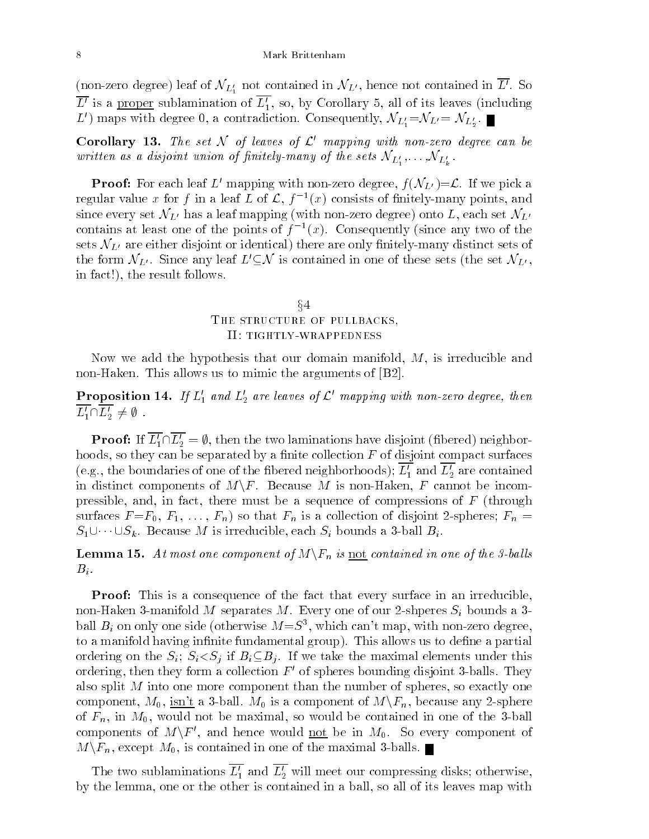(non-zero degree) leaf of  $\mathcal{N}_{L_1'}$  not contained in  $\mathcal{N}_{L'}$ , hence not contained in  $\overline{L'}$ . So  $\overline{L'}$  is a proper sublamination of  $\overline{L'_1}$ , so, by Corollary 5, all of its leaves (including  $L$  ) maps with degree 0, a contradiction. Consequently,  $\mathcal{N}_{L'_1} = \mathcal{N}_{L'} = \mathcal{N}_{L'_2}$  .

Corollary 13. The set N of leaves of  $\mathcal{L}'$  mapping with non-zero degree can be written as a atsjoint union of finitely-many of the sets  ${\cal N}_{L'_1},\ldots,{\cal N}_{L'_k}.$ 

**Proof:** For each leaf L' mapping with non-zero degree,  $f(\mathcal{N}_{L'})=\mathcal{L}$ . If we pick a regular value x for f in a leaf L of L,  $\bar{I}^{-1}(x)$  consists of finitely-many points, and since every set  $\mathcal{N}_{L'}$  has a leaf mapping (with non-zero degree) onto L, each set  $\mathcal{N}_{L'}$ contains at least one of the points of  $f^{-1}(x)$ . Consequently (since any two of the sets  $\mathcal{N}_{L'}$  are either disjoint or identical) there are only finitely-many distinct sets of the form  $\mathcal{N}_{L'}$ . Since any leaf  $L'\subseteq\mathcal{N}$  is contained in one of these sets (the set  $\mathcal{N}_{L'}$ , in fact!), the result follows.

# $\S4$ THE STRUCTURE OF PULLBACKS, II: tightly-wrappedness

Now we add the hypothesis that our domain manifold,  $M$ , is irreducible and non-Haken. This allows us to mimic the arguments of [B2].

**Proposition 14.** If  $L_1'$  and  $L_2'$  are leaves of  $\mathcal{L}'$  mapping with non-zero degree, then  $\overline{L'_1} \cap \overline{L'_2} \neq \emptyset$ .

**Proof:** If  $\overline{L'_1} \cap \overline{L'_2} = \emptyset$ , then the two laminations have disjoint (fibered) neighborhoods, so they can be separated by a finite collection  $F$  of disjoint compact surfaces (e.g., the boundaries of one of the fibered neighborhoods);  $\overline{L'_1}$  and  $\overline{L'_2}$  are contained in distinct components of  $M\backslash F$ . Because M is non-Haken, F cannot be incompressible, and, in fact, there must be a sequence of compressions of  $F$  (through surfaces  $F = F_0, F_1, \ldots, F_n$  so that  $F_n$  is a collection of disjoint 2-spheres;  $F_n =$  $S_1 \cup \cdots \cup S_k$ . Because M is irreducible, each  $S_i$  bounds a 3-ball  $B_i$ .

**Lemma 15.** At most one component of  $M\backslash F_n$  is not contained in one of the 3-balls  $B_i$ .

**Proof:** This is a consequence of the fact that every surface in an irreducible, non-Haken 3-manifold M separates M. Every one of our 2-shperes  $S_i$  bounds a 3ball  $B_i$  on only one side (otherwise  $M = S<sup>3</sup>$ , which can't map, with non-zero degree, to a manifold having infinite fundamental group). This allows us to define a partial ordering on the  $S_i$ ;  $S_i < S_j$  if  $B_i \subseteq B_j$ . If we take the maximal elements under this ordering, then they form a collection  $F'$  of spheres bounding disjoint 3-balls. They also split M into one more component than the number of spheres, so exactly one component,  $M_0$ , isn't a 3-ball.  $M_0$  is a component of  $M\backslash F_n$ , because any 2-sphere of  $F_n$ , in  $M_0$ , would not be maximal, so would be contained in one of the 3-ball components of  $M\backslash F'$ , and hence would <u>not</u> be in  $M_0$ . So every component of  $M\backslash F_n$ , except  $M_0$ , is contained in one of the maximal 3-balls.

The two sublaminations  $\overline{L_1'}$  and  $\overline{L_2'}$  will meet our compressing disks; otherwise, by the lemma, one or the other is contained in a ball, so all of its leaves map with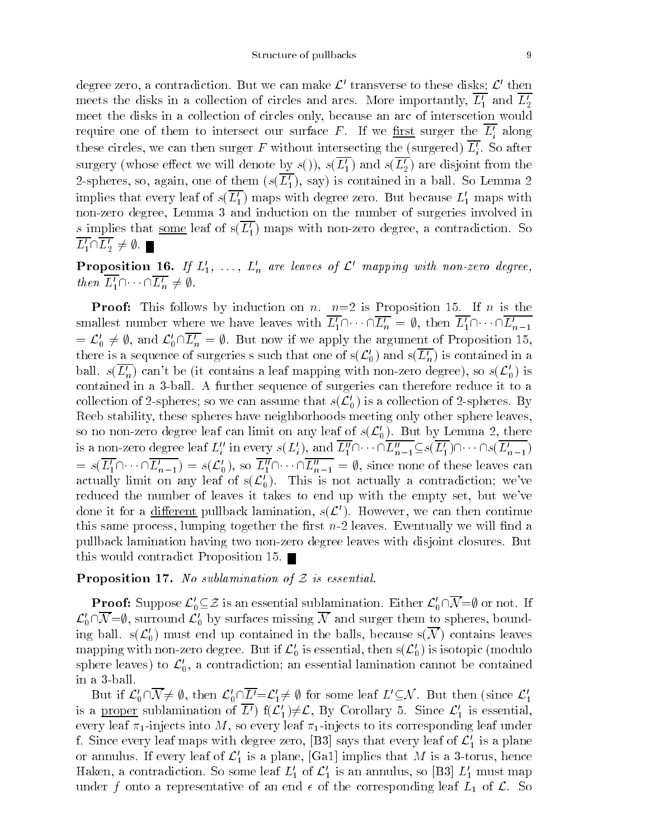degree zero, a contradiction. But we can make  $\mathcal{L}'$  transverse to these disks;  $\mathcal{L}'$  then meets the disks in a collection of circles and arcs. More importantly,  $\overline{L'_1}$  and  $\overline{L'_2}$ meet the disks in a collection of circles only, because an arc of interscetion would require one of them to intersect our surface  $r$ . If we <u>first</u> surger the  $L_i$  along these circles, we can then surger  $F$  without intersecting the (surgered)  $L_{\odot}$ . So after in the contract of the contract of the contract of the contract of the contract of the contract of the contract of the contract of the contract of the contract of the contract of the contract of the contract of the contrac surgery (whose effect we will denote by  $s($ )),  $s(\overline{L'_1})$  and  $s(\overline{L'_2})$  are disjoint from the 2-spheres, so, again, one of them  $(s(\overline{L_1'})$ , say) is contained in a ball. So Lemma 2 implies that every leaf of  $s(\overline{L_1'})$  maps with degree zero. But because  $L_1'$  maps with non-zero degree, Lemma 3 and induction on the number of surgeries involved in s implies that some leaf of  $s(L_1)$  maps with non-zero degree, a contradiction. So  $\overline{L_1'} \cap \overline{L_2'} \neq \emptyset. \blacksquare$ 

**Proposition 16.** If  $L'_1$ , ...,  $L'_n$  are leaves of  $\mathcal{L}'$  mapping with non-zero degree, then  $L'_1 \cap \cdots \cap L'_n \neq \emptyset$ .

**Proof:** This follows by induction on n.  $n=2$  is Proposition 15. If n is the smallest number where we have leaves with  $\overline{L'_1}\cap \cdots \cap \overline{L'_n} = \emptyset$ , then  $\overline{L'_1}\cap \cdots \cap \overline{L'_{n-1}}$  $=\mathcal{L}_0' \neq \emptyset$ , and  $\mathcal{L}_0' \cap \overline{\mathcal{L}_n'} = \emptyset$ . But now if we apply the argument of Proposition 15, there is a sequence of surgeries s such that one of  $s(\mathcal{L}'_0)$  and  $s(\overline{\mathcal{L}'_n})$  is contained in a ball.  $s(L_n)$  can't be (it contains a leaf mapping with non-zero degree), so  $s(\mathcal{L}_0)$  is contained in a 3-ball. A further sequence of surgeries can therefore reduce it to a collection of 2-spheres; so we can assume that  $s(\mathcal{L}'_0)$  is a collection of 2-spheres. By Reeb stability, these spheres have neighborhoods meeting only other sphere leaves, so no non-zero degree leaf can limit on any leaf of  $s(\mathcal{L}_0')$ . But by Lemma 2, there so no non-zero degree leaf can film on any leaf of  $s(\mathcal{L}_0)$ . But by Lemma 2, there<br>is a non-zero degree leaf  $L''_i$  in every  $s(L'_i)$ , and  $\overline{L''_1} \cap \cdots \cap \overline{L''_{n-1}} \subseteq s(\overline{L'_1}) \cap \cdots \cap s(\overline{L'_{n-1}})$  $s(\overline{L'_1}\cap\cdots\cap\overline{L'_{n-1}}) = s(\overline{L'_0})$ , so  $\overline{L''_1}\cap\cdots\cap\overline{L''_{n-1}} = \emptyset$ , since none of these leaves can actually limit on any leaf of  $s(\mathcal{L}_{0}^{r})$ . This is not actually a contradiction; we've reduced the number of leaves it takes to end up with the empty set, but we've done it for a different pullback lamination,  $s(\mathcal{L}')$ . However, we can then continue this same process, lumping together the first  $n-2$  leaves. Eventually we will find a pullback lamination having two non-zero degree leaves with disjoint closures. But this would contradict Proposition 15.

**Proposition 17.** No sublamination of  $Z$  is essential.

**Proof:** Suppose  $\mathcal{L}'_0 \subseteq \mathcal{Z}$  is an essential sublamination. Either  $\mathcal{L}'_0 \cap \overline{\mathcal{N}} = \emptyset$  or not. If  $\mathcal{L}_0' \cap \overline{\mathcal{N}} = \emptyset$ , surround  $\mathcal{L}_0'$  by surfaces missing  $\overline{\mathcal{N}}$  and surger them to spheres, bounding ball.  $s(\mathcal{L}'_0)$  must end up contained in the balls, because  $s(\mathcal{N})$  contains leaves mapping with non-zero degree. But if  $\mathcal{L}'_0$  is essential, then  $s(\mathcal{L}'_0)$  is isotopic (modulo sphere leaves) to  $\mathcal{L}'_0$ , a contradiction; an essential lamination cannot be contained in a 3-ball.

But if  $\mathcal{L}'_0\cap \overline{\mathcal{N}}\neq \emptyset$ , then  $\mathcal{L}'_0\cap \overline{L'}=\mathcal{L}'_1\neq \emptyset$  for some leaf  $L'\subseteq \mathcal{N}$ . But then (since  $\mathcal{L}'_1$ is a <u>proper</u> sublamination of  $\overline{L'}$  if  $(\mathcal{L}'_1) \neq \mathcal{L}$ , By Corollary 5. Since  $\mathcal{L}'_1$  is essential, every leaf  $\pi_1$ -injects into M, so every leaf  $\pi_1$ -injects to its corresponding leaf under f. Since every leaf maps with degree zero, [B3] says that every leaf of  $\mathcal{L}_1'$  is a plane or annulus. If every leaf of  $\mathcal{L}'_1$  is a plane, [Ga1] implies that M is a 3-torus, hence Haken, a contradiction. So some leaf  $L_1'$  of  $\mathcal{L}_1'$  is an annulus, so [B3]  $L_1'$  must map under f onto a representative of an end  $\epsilon$  of the corresponding leaf  $L_1$  of  $\mathcal{L}$ . So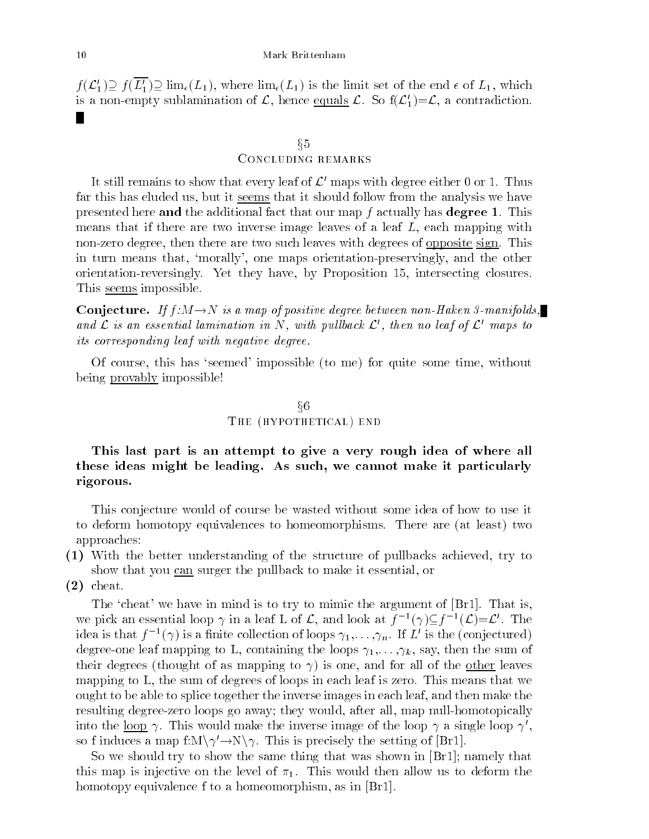$f(\mathcal{L}_1') \supseteq f(\overline{L_1'}) \supseteq \lim_{\epsilon}(L_1)$ , where  $\lim_{\epsilon}(L_1)$  is the limit set of the end  $\epsilon$  of  $L_1$ , which is a non-empty sublamination of  $\mathcal{L}$ , hence equals  $\mathcal{L}$ . So  $f(\mathcal{L}'_1)=\mathcal{L}$ , a contradiction.

### $§5$

### Concluding remarks

It still remains to show that every leaf of  $\mathcal{L}'$  maps with degree either 0 or 1. Thus far this has eluded us, but it seems that it should follow from the analysis we have presented here and the additional fact that our map f actually has degree 1. This means that if there are two inverse image leaves of a leaf  $L$ , each mapping with non-zero degree, then there are two such leaves with degrees of opposite sign. This in turn means that, `morally', one maps orientation-preservingly, and the other orientation-reversingly. Yet they have, by Proposition 15, intersecting closures. This <u>seems</u> impossible.

**Conjecture.** If  $f : M \to N$  is a map of positive degree between non-Haken 3-manifolds, and  $\mathcal L$  is an essential lamination in N, with pullback  $\mathcal L'$ , then no leaf of  $\mathcal L'$  maps to its corresponding leaf with negative degree.

Of course, this has `seemed' impossible (to me) for quite some time, without being provably impossible!

# $§6$ THE (HYPOTHETICAL) END

# This last part is an attempt to give a very rough idea of where all these ideas might be leading. As such, we cannot make it particularly rigorous.

This conjecture would of course be wasted without some idea of how to use it to deform homotopy equivalences to homeomorphisms. There are (at least) two approaches:

(1) With the better understanding of the structure of pullbacks achieved, try to show that you can surger the pullback to make it essential, or

(2) cheat.

The 'cheat' we have in mind is to try to mimic the argument of [Br1]. That is, we pick an essential loop  $\gamma$  in a leaf L of L, and look at  $\tau^{-1}(\gamma) \subseteq \tau^{-1}(L) = L$ . The idea is that  $f^{-1}(\gamma)$  is a finite collection of loops  $\gamma_1,\ldots,\gamma_n.$  If  $L$  is the (conjectured) degree-one leaf mapping to L, containing the loops  $\gamma_1,\ldots,\gamma_k$ , say, then the sum of their degrees (thought of as mapping to  $\gamma$ ) is one, and for all of the other leaves mapping to L, the sum of degrees of loops in each leaf is zero. This means that we ought to be able to splice together the inverse images in each leaf, and then make the resulting degree-zero loops go away; they would, after all, map null-homotopically into the <u>loop</u>  $\gamma$ . This would make the inverse image of the loop  $\gamma$  a single loop  $\gamma'$ , so f induces a map f: $M\setminus \gamma' \rightarrow N\setminus \gamma$ . This is precisely the setting of [Br1].

So we should try to show the same thing that was shown in [Br1]; namely that this map is injective on the level of  $\pi_1$ . This would then allow us to deform the homotopy equivalence f to a homeomorphism, as in [Br1].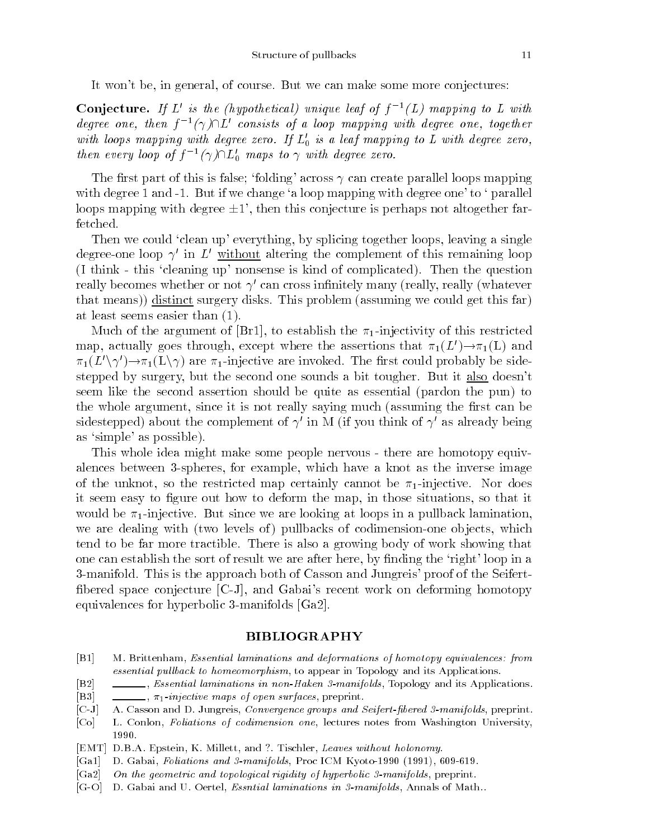It won't be, in general, of course. But we can make some more conjectures:

**Conjecture.** If L is the (hypothetical) unique leaf of  $\bar{f}$  (L) mapping to L with aegree one, then  $I^{-1}(\gamma)$  IL consists of a loop mapping with aegree one, together with loops mapping with degree zero. If  $L_0'$  is a leaf mapping to L with degree zero, then every loop of  $f^{-1}(\gamma)$   $\mathsf{L}_0$  maps to  $\gamma$  with degree zero.

The first part of this is false; 'folding' across  $\gamma$  can create parallel loops mapping with degree 1 and  $-1$ . But if we change 'a loop mapping with degree one' to ' parallel loops mapping with degree  $\pm 1'$ , then this conjecture is perhaps not altogether farfetched.

Then we could 'clean up' everything, by splicing together loops, leaving a single degree-one loop  $\gamma'$  in L' without altering the complement of this remaining loop (I think - this `cleaning up' nonsense is kind of complicated). Then the question really becomes whether or not  $\gamma'$  can cross infinitely many (really, really (whatever that means)) distinct surgery disks. This problem (assuming we could get this far) at least seems easier than (1).

Much of the argument of [Br1], to establish the  $\pi_1$ -injectivity of this restricted map, actually goes through, except where the assertions that  $\pi_1(L') \rightarrow \pi_1(L)$  and  $\pi_1(L' \setminus \gamma') \to \pi_1(L \setminus \gamma)$  are  $\pi_1$ -injective are invoked. The first could probably be sidestepped by surgery, but the second one sounds a bit tougher. But it also doesn't seem like the second assertion should be quite as essential (pardon the pun) to the whole argument, since it is not really saying much (assuming the first can be sidestepped) about the complement of  $\gamma'$  in M (if you think of  $\gamma'$  as already being as `simple' as possible).

This whole idea might make some people nervous - there are homotopy equivalences between 3-spheres, for example, which have a knot as the inverse image of the unknot, so the restricted map certainly cannot be  $\pi_1$ -injective. Nor does it seem easy to figure out how to deform the map, in those situations, so that it would be  $\pi_1$ -injective. But since we are looking at loops in a pullback lamination, we are dealing with (two levels of) pullbacks of codimension-one objects, which tend to be far more tractible. There is also a growing body of work showing that one can establish the sort of result we are after here, by finding the 'right' loop in a 3-manifold. This is the approach both of Casson and Jungreis' proof of the Seifert bered space conjecture [C-J], and Gabai's recent work on deforming homotopy equivalences for hyperbolic 3-manifolds [Ga2].

## BIBLIOGRAPHY

- [B1] M. Brittenham, Essential laminations and deformations of homotopy equivalences: from essential pullback to homeomorphism, to appear in Topology and its Applications.
- [B2] , Essential laminations in non-Haken 3-manifolds, Topology and its Applications.
- [B3]  $\qquad \qquad$ ,  $\pi_1$ -injective maps of open surfaces, preprint.
- [C-J] A. Casson and D. Jungreis, Convergence groups and Seifert-fibered 3-manifolds, preprint.
- [Co] L. Conlon, Foliations of codimension one, lectures notes from Washington University, 1990.
- [EMT] D.B.A. Epstein, K. Millett, and ?. Tischler, Leaves without holonomy.
- [Ga1] D. Gabai, Foliations and 3-manifolds, Proc ICM Kyoto-1990 (1991), 609-619.
- [Ga2] On the geometric and topological rigidity of hyperbolic 3-manifolds, preprint.
- [G-O] D. Gabai and U. Oertel, Essntial laminations in 3-manifolds, Annals of Math..